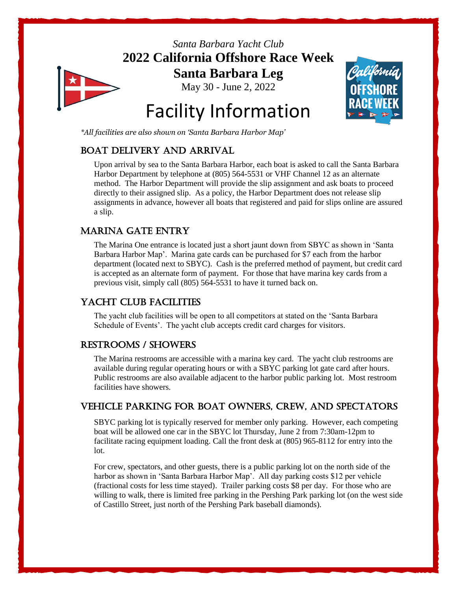

*Santa Barbara Yacht Club* **2022 California Offshore Race Week Santa Barbara Leg** May 30 - June 2, 2022

Facility Information

# Palifornía

### *\*All facilities are also shown on 'Santa Barbara Harbor Map'*

# Boat Delivery and Arrival

Upon arrival by sea to the Santa Barbara Harbor, each boat is asked to call the Santa Barbara Harbor Department by telephone at (805) 564-5531 or VHF Channel 12 as an alternate method. The Harbor Department will provide the slip assignment and ask boats to proceed directly to their assigned slip. As a policy, the Harbor Department does not release slip assignments in advance, however all boats that registered and paid for slips online are assured a slip.

# Marina Gate Entry

The Marina One entrance is located just a short jaunt down from SBYC as shown in 'Santa Barbara Harbor Map'. Marina gate cards can be purchased for \$7 each from the harbor department (located next to SBYC). Cash is the preferred method of payment, but credit card is accepted as an alternate form of payment. For those that have marina key cards from a previous visit, simply call (805) 564-5531 to have it turned back on.

# Yacht Club Facilities

The yacht club facilities will be open to all competitors at stated on the 'Santa Barbara Schedule of Events'. The yacht club accepts credit card charges for visitors.

# Restrooms / Showers

The Marina restrooms are accessible with a marina key card. The yacht club restrooms are available during regular operating hours or with a SBYC parking lot gate card after hours. Public restrooms are also available adjacent to the harbor public parking lot. Most restroom facilities have showers.

# Vehicle Parking for boat owners, Crew, and Spectators

SBYC parking lot is typically reserved for member only parking. However, each competing boat will be allowed one car in the SBYC lot Thursday, June 2 from 7:30am-12pm to facilitate racing equipment loading. Call the front desk at (805) 965-8112 for entry into the lot.

For crew, spectators, and other guests, there is a public parking lot on the north side of the harbor as shown in 'Santa Barbara Harbor Map'. All day parking costs \$12 per vehicle (fractional costs for less time stayed). Trailer parking costs \$8 per day. For those who are willing to walk, there is limited free parking in the Pershing Park parking lot (on the west side of Castillo Street, just north of the Pershing Park baseball diamonds).